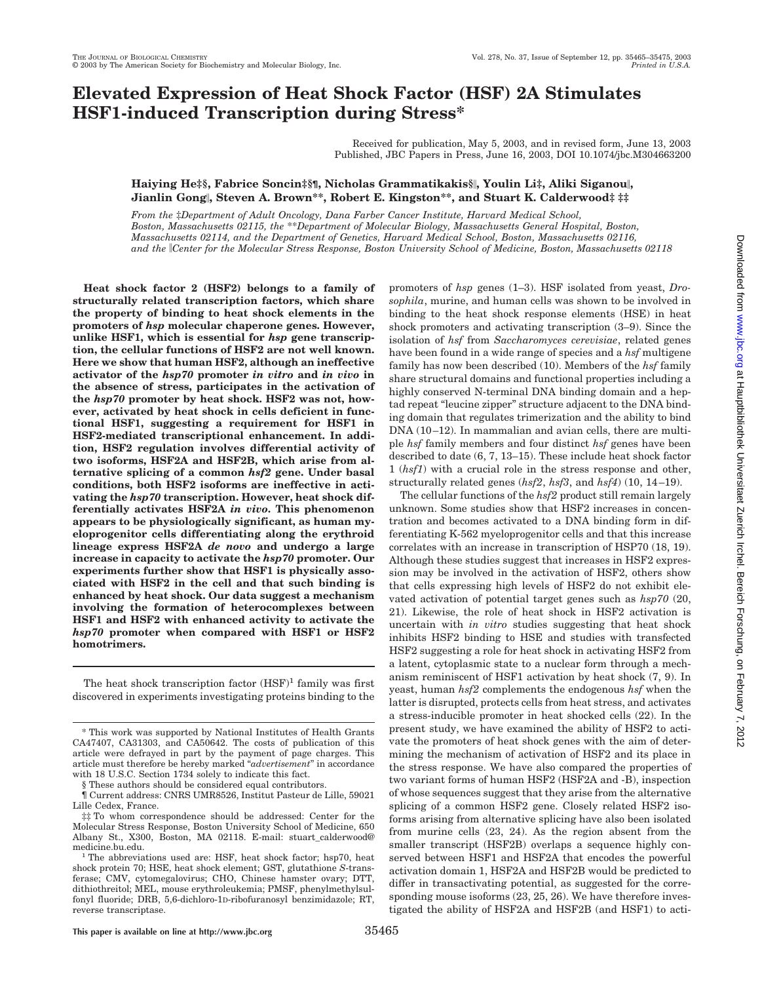# **Elevated Expression of Heat Shock Factor (HSF) 2A Stimulates HSF1-induced Transcription during Stress\***

Received for publication, May 5, 2003, and in revised form, June 13, 2003 Published, JBC Papers in Press, June 16, 2003, DOI 10.1074/jbc.M304663200

# **Haiying He‡§, Fabrice Soncin‡§¶, Nicholas Grammatikakis§, Youlin Li‡, Aliki Siganou, Jianlin Gong, Steven A. Brown\*\*, Robert E. Kingston\*\*, and Stuart K. Calderwood‡ ‡‡**

*From the* ‡*Department of Adult Oncology, Dana Farber Cancer Institute, Harvard Medical School, Boston, Massachusetts 02115, the* \*\**Department of Molecular Biology, Massachusetts General Hospital, Boston, Massachusetts 02114, and the Department of Genetics, Harvard Medical School, Boston, Massachusetts 02116, and the Center for the Molecular Stress Response, Boston University School of Medicine, Boston, Massachusetts 02118*

**Heat shock factor 2 (HSF2) belongs to a family of structurally related transcription factors, which share the property of binding to heat shock elements in the promoters of** *hsp* **molecular chaperone genes. However, unlike HSF1, which is essential for** *hsp* **gene transcription, the cellular functions of HSF2 are not well known. Here we show that human HSF2, although an ineffective activator of the** *hsp70* **promoter** *in vitro* **and** *in vivo* **in the absence of stress, participates in the activation of the** *hsp70* **promoter by heat shock. HSF2 was not, however, activated by heat shock in cells deficient in functional HSF1, suggesting a requirement for HSF1 in HSF2-mediated transcriptional enhancement. In addition, HSF2 regulation involves differential activity of two isoforms, HSF2A and HSF2B, which arise from alternative splicing of a common** *hsf2* **gene. Under basal conditions, both HSF2 isoforms are ineffective in activating the** *hsp70* **transcription. However, heat shock differentially activates HSF2A** *in vivo***. This phenomenon appears to be physiologically significant, as human myeloprogenitor cells differentiating along the erythroid lineage express HSF2A** *de novo* **and undergo a large increase in capacity to activate the** *hsp70* **promoter. Our experiments further show that HSF1 is physically associated with HSF2 in the cell and that such binding is enhanced by heat shock. Our data suggest a mechanism involving the formation of heterocomplexes between HSF1 and HSF2 with enhanced activity to activate the** *hsp70* **promoter when compared with HSF1 or HSF2 homotrimers.**

The heat shock transcription factor  $(HSF)^1$  family was first discovered in experiments investigating proteins binding to the promoters of *hsp* genes (1–3). HSF isolated from yeast, *Drosophila*, murine, and human cells was shown to be involved in binding to the heat shock response elements (HSE) in heat shock promoters and activating transcription (3–9). Since the isolation of *hsf* from *Saccharomyces cerevisiae*, related genes have been found in a wide range of species and a *hsf* multigene family has now been described (10). Members of the *hsf* family share structural domains and functional properties including a highly conserved N-terminal DNA binding domain and a heptad repeat "leucine zipper" structure adjacent to the DNA binding domain that regulates trimerization and the ability to bind  $DNA (10–12)$ . In mammalian and avian cells, there are multiple *hsf* family members and four distinct *hsf* genes have been described to date (6, 7, 13–15). These include heat shock factor 1 (*hsf1*) with a crucial role in the stress response and other, structurally related genes (*hsf2*, *hsf3*, and *hsf4*) (10, 14 –19).

The cellular functions of the *hsf2* product still remain largely unknown. Some studies show that HSF2 increases in concentration and becomes activated to a DNA binding form in differentiating K-562 myeloprogenitor cells and that this increase correlates with an increase in transcription of HSP70 (18, 19). Although these studies suggest that increases in HSF2 expression may be involved in the activation of HSF2, others show that cells expressing high levels of HSF2 do not exhibit elevated activation of potential target genes such as *hsp70* (20, 21). Likewise, the role of heat shock in HSF2 activation is uncertain with *in vitro* studies suggesting that heat shock inhibits HSF2 binding to HSE and studies with transfected HSF2 suggesting a role for heat shock in activating HSF2 from a latent, cytoplasmic state to a nuclear form through a mechanism reminiscent of HSF1 activation by heat shock (7, 9). In yeast, human *hsf2* complements the endogenous *hsf* when the latter is disrupted, protects cells from heat stress, and activates a stress-inducible promoter in heat shocked cells (22). In the present study, we have examined the ability of HSF2 to activate the promoters of heat shock genes with the aim of determining the mechanism of activation of HSF2 and its place in the stress response. We have also compared the properties of two variant forms of human HSF2 (HSF2A and -B), inspection of whose sequences suggest that they arise from the alternative splicing of a common HSF2 gene. Closely related HSF2 isoforms arising from alternative splicing have also been isolated from murine cells (23, 24). As the region absent from the smaller transcript (HSF2B) overlaps a sequence highly conserved between HSF1 and HSF2A that encodes the powerful activation domain 1, HSF2A and HSF2B would be predicted to differ in transactivating potential, as suggested for the corresponding mouse isoforms  $(23, 25, 26)$ . We have therefore investigated the ability of HSF2A and HSF2B (and HSF1) to acti-

<sup>\*</sup> This work was supported by National Institutes of Health Grants CA47407, CA31303, and CA50642. The costs of publication of this article were defrayed in part by the payment of page charges. This article must therefore be hereby marked "*advertisement*" in accordance with 18 U.S.C. Section 1734 solely to indicate this fact.

<sup>§</sup> These authors should be considered equal contributors.

<sup>¶</sup> Current address: CNRS UMR8526, Institut Pasteur de Lille, 59021 Lille Cedex, France.

<sup>‡‡</sup> To whom correspondence should be addressed: Center for the Molecular Stress Response, Boston University School of Medicine, 650 Albany St., X300, Boston, MA 02118. E-mail: stuart\_calderwood@

The abbreviations used are: HSF, heat shock factor; hsp70, heat shock protein 70; HSE, heat shock element; GST, glutathione *S*-transferase; CMV, cytomegalovirus; CHO, Chinese hamster ovary; DTT, dithiothreitol; MEL, mouse erythroleukemia; PMSF, phenylmethylsulfonyl fluoride; DRB, 5,6-dichloro-1D-ribofuranosyl benzimidazole; RT, reverse transcriptase.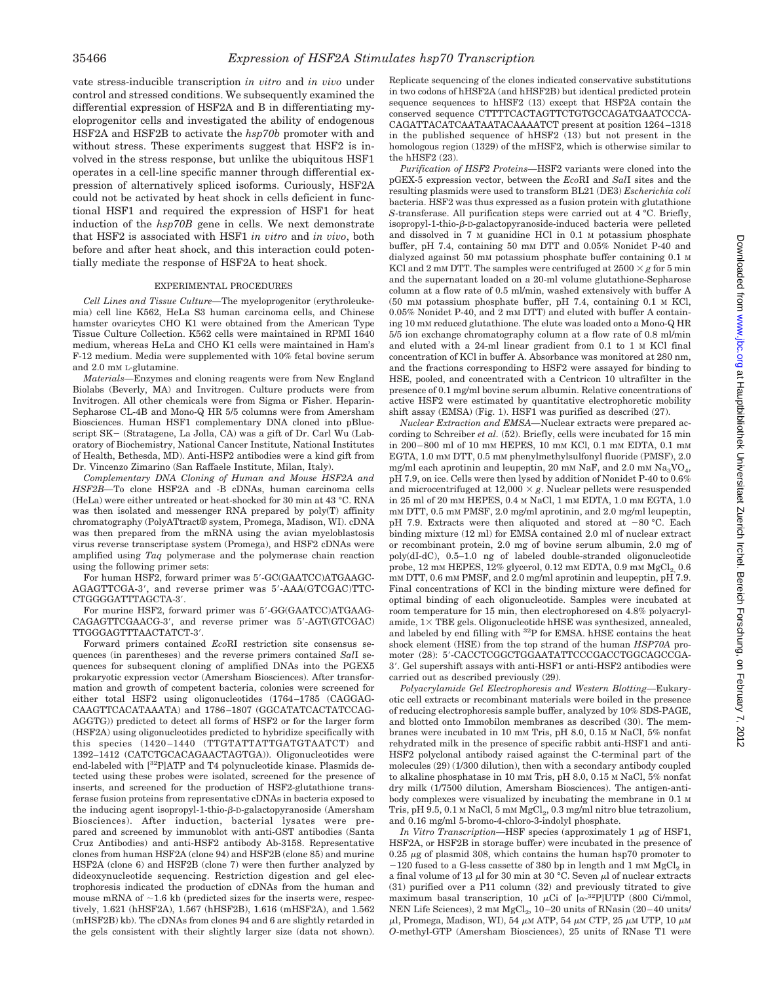vate stress-inducible transcription *in vitro* and *in vivo* under control and stressed conditions. We subsequently examined the differential expression of HSF2A and B in differentiating myeloprogenitor cells and investigated the ability of endogenous HSF2A and HSF2B to activate the *hsp70b* promoter with and without stress. These experiments suggest that HSF2 is involved in the stress response, but unlike the ubiquitous HSF1 operates in a cell-line specific manner through differential expression of alternatively spliced isoforms. Curiously, HSF2A could not be activated by heat shock in cells deficient in functional HSF1 and required the expression of HSF1 for heat induction of the *hsp70B* gene in cells. We next demonstrate that HSF2 is associated with HSF1 *in vitro* and *in vivo*, both before and after heat shock, and this interaction could potentially mediate the response of HSF2A to heat shock.

## EXPERIMENTAL PROCEDURES

*Cell Lines and Tissue Culture—*The myeloprogenitor (erythroleukemia) cell line K562, HeLa S3 human carcinoma cells, and Chinese hamster ovaricytes CHO K1 were obtained from the American Type Tissue Culture Collection. K562 cells were maintained in RPMI 1640 medium, whereas HeLa and CHO K1 cells were maintained in Ham's F-12 medium. Media were supplemented with 10% fetal bovine serum and 2.0 mm L-glutamine.

*Materials—*Enzymes and cloning reagents were from New England Biolabs (Beverly, MA) and Invitrogen. Culture products were from Invitrogen. All other chemicals were from Sigma or Fisher. Heparin-Sepharose CL-4B and Mono-Q HR 5/5 columns were from Amersham Biosciences. Human HSF1 complementary DNA cloned into pBluescript SK- (Stratagene, La Jolla, CA) was a gift of Dr. Carl Wu (Laboratory of Biochemistry, National Cancer Institute, National Institutes of Health, Bethesda, MD). Anti-HSF2 antibodies were a kind gift from Dr. Vincenzo Zimarino (San Raffaele Institute, Milan, Italy).

*Complementary DNA Cloning of Human and Mouse HSF2A and HSF2B—*To clone HSF2A and -B cDNAs, human carcinoma cells (HeLa) were either untreated or heat-shocked for 30 min at 43 °C. RNA was then isolated and messenger RNA prepared by poly(T) affinity chromatography (PolyATtract® system, Promega, Madison, WI). cDNA was then prepared from the mRNA using the avian myeloblastosis virus reverse transcriptase system (Promega), and HSF2 cDNAs were amplified using *Taq* polymerase and the polymerase chain reaction using the following primer sets:

For human HSF2, forward primer was 5'-GC(GAATCC)ATGAAGC-AGAGTTCGA-3', and reverse primer was 5'-AAA(GTCGAC)TTC-CTGGGGATTTAGCTA-3-.

For murine HSF2, forward primer was 5'-GG(GAATCC)ATGAAG-CAGAGTTCGAACG-3', and reverse primer was 5'-AGT(GTCGAC) TTGGGAGTTTAACTATCT-3-.

Forward primers contained *Eco*RI restriction site consensus sequences (in parentheses) and the reverse primers contained *Sal*I sequences for subsequent cloning of amplified DNAs into the PGEX5 prokaryotic expression vector (Amersham Biosciences). After transformation and growth of competent bacteria, colonies were screened for either total HSF2 using oligonucleotides (1764 –1785 (CAGGAG-CAAGTTCACATAAATA) and 1786 –1807 (GGCATATCACTATCCAG-AGGTG)) predicted to detect all forms of HSF2 or for the larger form (HSF2A) using oligonucleotides predicted to hybridize specifically with this species (1420-1440 (TTGTATTATTGATGTAATCT) and 1392–1412 (CATCTGCACAGAACTAGTGA)). Oligonucleotides were end-labeled with [32P]ATP and T4 polynucleotide kinase. Plasmids detected using these probes were isolated, screened for the presence of inserts, and screened for the production of HSF2-glutathione transferase fusion proteins from representative cDNAs in bacteria exposed to the inducing agent isopropyl-1-thio- $\beta$ -D-galactopyranoside (Amersham Biosciences). After induction, bacterial lysates were prepared and screened by immunoblot with anti-GST antibodies (Santa Cruz Antibodies) and anti-HSF2 antibody Ab-3158. Representative clones from human HSF2A (clone 94) and HSF2B (clone 85) and murine HSF2A (clone 6) and HSF2B (clone 7) were then further analyzed by dideoxynucleotide sequencing. Restriction digestion and gel electrophoresis indicated the production of cDNAs from the human and mouse mRNA of  $\sim$ 1.6 kb (predicted sizes for the inserts were, respectively, 1.621 (hHSF2A), 1.567 (hHSF2B), 1.616 (mHSF2A), and 1.562 (mHSF2B) kb). The cDNAs from clones 94 and 6 are slightly retarded in the gels consistent with their slightly larger size (data not shown).

Replicate sequencing of the clones indicated conservative substitutions in two codons of hHSF2A (and hHSF2B) but identical predicted protein sequence sequences to hHSF2 (13) except that HSF2A contain the conserved sequence CTTTTCACTAGTTCTGTGCCAGATGAATCCCA-CAGATTACATCAATAATACAAAATCT present at position 1264 –1318 in the published sequence of hHSF2 (13) but not present in the homologous region (1329) of the mHSF2, which is otherwise similar to the hHSF2 (23).

*Purification of HSF2 Proteins—*HSF2 variants were cloned into the pGEX-5 expression vector, between the *Eco*RI and *Sal*I sites and the resulting plasmids were used to transform BL21 (DE3) *Escherichia coli* bacteria. HSF2 was thus expressed as a fusion protein with glutathione *S*-transferase. All purification steps were carried out at 4 °C. Briefly, isopropyl-1-thio- $\beta$ -D-galactopyranoside-induced bacteria were pelleted and dissolved in 7 M guanidine HCl in 0.1 M potassium phosphate buffer, pH 7.4, containing 50 mM DTT and 0.05% Nonidet P-40 and dialyzed against 50 mM potassium phosphate buffer containing 0.1 M KCl and 2 mM DTT. The samples were centrifuged at  $2500 \times g$  for 5 min and the supernatant loaded on a 20-ml volume glutathione-Sepharose column at a flow rate of 0.5 ml/min, washed extensively with buffer A (50 mM potassium phosphate buffer, pH 7.4, containing 0.1 M KCl, 0.05% Nonidet P-40, and 2 mM DTT) and eluted with buffer A containing 10 mM reduced glutathione. The elute was loaded onto a Mono-Q HR 5/5 ion exchange chromatography column at a flow rate of 0.8 ml/min and eluted with a 24-ml linear gradient from 0.1 to 1 M KCl final concentration of KCl in buffer A. Absorbance was monitored at 280 nm, and the fractions corresponding to HSF2 were assayed for binding to HSE, pooled, and concentrated with a Centricon 10 ultrafilter in the presence of 0.1 mg/ml bovine serum albumin. Relative concentrations of active HSF2 were estimated by quantitative electrophoretic mobility shift assay (EMSA) (Fig. 1). HSF1 was purified as described (27).

*Nuclear Extraction and EMSA—*Nuclear extracts were prepared according to Schreiber *et al.* (52). Briefly, cells were incubated for 15 min in 200 – 800 ml of 10 mM HEPES, 10 mM KCl, 0.1 mM EDTA, 0.1 mM EGTA, 1.0 mm DTT, 0.5 mm phenylmethylsulfonyl fluoride (PMSF), 2.0 mg/ml each aprotinin and leupeptin, 20 mm NaF, and 2.0 mm  $\text{Na}_3\text{VO}_4$ , pH 7.9, on ice. Cells were then lysed by addition of Nonidet P-40 to 0.6% and microcentrifuged at  $12,000 \times g$ . Nuclear pellets were resuspended in 25 ml of 20 mM HEPES, 0.4 M NaCl, 1 mM EDTA, 1.0 mM EGTA, 1.0 mM DTT, 0.5 mM PMSF, 2.0 mg/ml aprotinin, and 2.0 mg/ml leupeptin, pH 7.9. Extracts were then aliquoted and stored at  $-80$  °C. Each binding mixture (12 ml) for EMSA contained 2.0 ml of nuclear extract or recombinant protein, 2.0 mg of bovine serum albumin, 2.0 mg of poly(dI-dC), 0.5–1.0 ng of labeled double-stranded oligonucleotide probe,  $12 \text{ mm}$  HEPES,  $12\%$  glycerol,  $0.12 \text{ mm}$  EDTA,  $0.9 \text{ mm}$  MgCl<sub>2</sub>,  $0.6$ mM DTT, 0.6 mM PMSF, and 2.0 mg/ml aprotinin and leupeptin, pH 7.9. Final concentrations of KCl in the binding mixture were defined for optimal binding of each oligonucleotide. Samples were incubated at room temperature for 15 min, then electrophoresed on 4.8% polyacrylamide,  $1 \times$  TBE gels. Oligonucleotide hHSE was synthesized, annealed, and labeled by end filling with 32P for EMSA. hHSE contains the heat shock element (HSE) from the top strand of the human *HSP70A* promoter (28): 5--CACCTCGGCTGGAATATTCCCGACCTGGCAGCCGA-3'. Gel supershift assays with anti-HSF1 or anti-HSF2 antibodies were carried out as described previously (29).

*Polyacrylamide Gel Electrophoresis and Western Blotting—*Eukaryotic cell extracts or recombinant materials were boiled in the presence of reducing electrophoresis sample buffer, analyzed by 10% SDS-PAGE, and blotted onto Immobilon membranes as described (30). The membranes were incubated in 10 mM Tris, pH 8.0, 0.15 M NaCl, 5% nonfat rehydrated milk in the presence of specific rabbit anti-HSF1 and anti-HSF2 polyclonal antibody raised against the C-terminal part of the molecules (29) (1/300 dilution), then with a secondary antibody coupled to alkaline phosphatase in 10 mM Tris, pH 8.0, 0.15 M NaCl, 5% nonfat dry milk (1/7500 dilution, Amersham Biosciences). The antigen-antibody complexes were visualized by incubating the membrane in 0.1 M Tris, pH 9.5, 0.1 M NaCl, 5 mM MgCl<sub>2</sub>, 0.3 mg/ml nitro blue tetrazolium, and 0.16 mg/ml 5-bromo-4-chloro-3-indolyl phosphate.

*In Vitro Transcription*—HSF species (approximately 1  $\mu$ g of HSF1, HSF2A, or HSF2B in storage buffer) were incubated in the presence of  $0.25 \mu$ g of plasmid 308, which contains the human hsp70 promoter to  $-120$  fused to a G-less cassette of 380 bp in length and 1 mm  $MgCl<sub>2</sub>$  in a final volume of 13  $\mu$ l for 30 min at 30 °C. Seven  $\mu$ l of nuclear extracts (31) purified over a P11 column (32) and previously titrated to give maximum basal transcription, 10  $\mu$ Ci of [ $\alpha$ -<sup>32</sup>P]UTP (800 Ci/mmol, NEN Life Sciences), 2 mM MgCl<sub>2</sub>, 10-20 units of RNasin (20-40 units/  $\mu$ l, Promega, Madison, WI), 54  $\mu$ м ATP, 54  $\mu$ м CTP, 25  $\mu$ м UTP, 10  $\mu$ м *O*-methyl-GTP (Amersham Biosciences), 25 units of RNase T1 were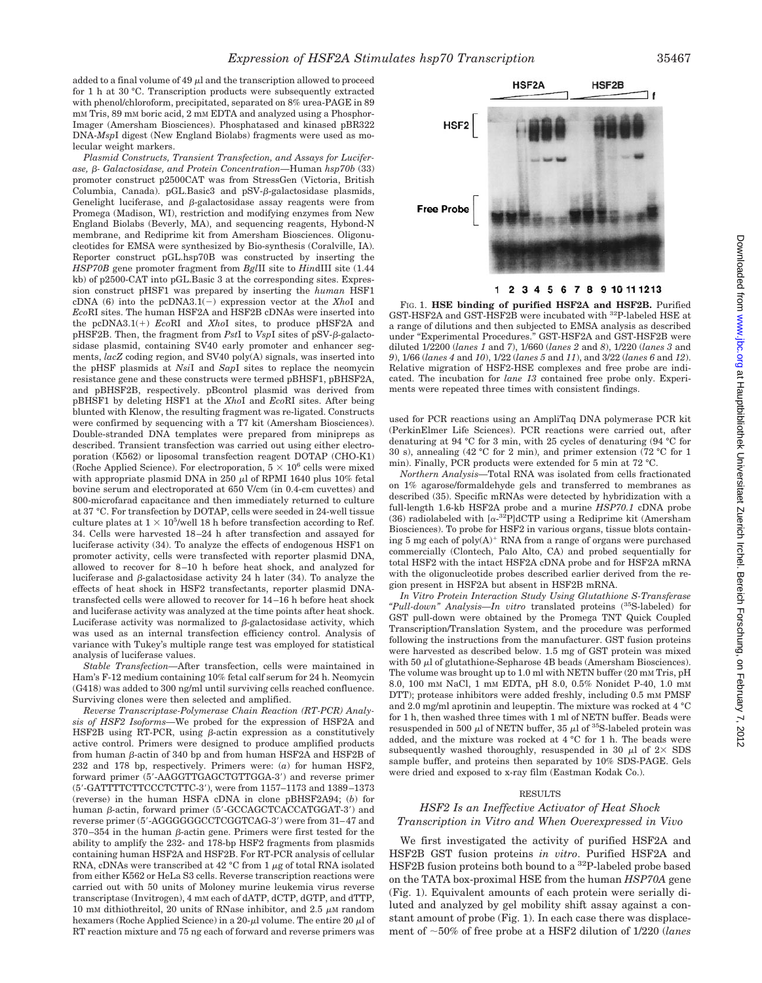*Expression of HSF2A Stimulates hsp70 Transcription* 35467

added to a final volume of 49  $\mu$ l and the transcription allowed to proceed for 1 h at 30 °C. Transcription products were subsequently extracted with phenol/chloroform, precipitated, separated on 8% urea-PAGE in 89 mM Tris, 89 mM boric acid, 2 mM EDTA and analyzed using a Phosphor-Imager (Amersham Biosciences). Phosphatased and kinased pBR322 DNA-*Msp*I digest (New England Biolabs) fragments were used as molecular weight markers.

*Plasmid Constructs, Transient Transfection, and Assays for Luciferase, - Galactosidase, and Protein Concentration—*Human *hsp70b* (33) promoter construct p2500CAT was from StressGen (Victoria, British Columbia, Canada).  $pGL.Basic3$  and  $pSV-B-galactosidase plasmids$ , Genelight luciferase, and  $\beta$ -galactosidase assay reagents were from Promega (Madison, WI), restriction and modifying enzymes from New England Biolabs (Beverly, MA), and sequencing reagents, Hybond-N membrane, and Rediprime kit from Amersham Biosciences. Oligonucleotides for EMSA were synthesized by Bio-synthesis (Coralville, IA). Reporter construct pGL.hsp70B was constructed by inserting the *HSP70B* gene promoter fragment from *Bgl*II site to *Hin*dIII site (1.44 kb) of p2500-CAT into pGL.Basic 3 at the corresponding sites. Expression construct pHSF1 was prepared by inserting the *human* HSF1  $cDNA (6)$  into the  $pcDNA3.1(-)$  expression vector at the *XhoI* and *Eco*RI sites. The human HSF2A and HSF2B cDNAs were inserted into the pcDNA3.1(+) *EcoRI* and *XhoI* sites, to produce pHSF2A and  $pHSF2B$ . Then, the fragment from *PstI* to *VspI* sites of  $pSV-\beta$ -galactosidase plasmid, containing SV40 early promoter and enhancer segments, *lacZ* coding region, and SV40 poly(A) signals, was inserted into the pHSF plasmids at *Nsi*I and *Sap*I sites to replace the neomycin resistance gene and these constructs were termed pBHSF1, pBHSF2A, and pBHSF2B, respectively. pBcontrol plasmid was derived from pBHSF1 by deleting HSF1 at the *Xho*I and *Eco*RI sites. After being blunted with Klenow, the resulting fragment was re-ligated. Constructs were confirmed by sequencing with a T7 kit (Amersham Biosciences). Double-stranded DNA templates were prepared from minipreps as described. Transient transfection was carried out using either electroporation (K562) or liposomal transfection reagent DOTAP (CHO-K1) (Roche Applied Science). For electroporation,  $5 \times 10^6$  cells were mixed with appropriate plasmid DNA in 250  $\mu$ l of RPMI 1640 plus 10% fetal bovine serum and electroporated at 650 V/cm (in 0.4-cm cuvettes) and 800-microfarad capacitance and then immediately returned to culture at 37 °C. For transfection by DOTAP, cells were seeded in 24-well tissue culture plates at  $1 \times 10^5$ /well 18 h before transfection according to Ref. 34. Cells were harvested 18 –24 h after transfection and assayed for luciferase activity (34). To analyze the effects of endogenous HSF1 on promoter activity, cells were transfected with reporter plasmid DNA, allowed to recover for 8 –10 h before heat shock, and analyzed for luciferase and  $\beta$ -galactosidase activity 24 h later (34). To analyze the effects of heat shock in HSF2 transfectants, reporter plasmid DNAtransfected cells were allowed to recover for 14 –16 h before heat shock and luciferase activity was analyzed at the time points after heat shock. Luciferase activity was normalized to  $\beta$ -galactosidase activity, which was used as an internal transfection efficiency control. Analysis of variance with Tukey's multiple range test was employed for statistical analysis of luciferase values.

*Stable Transfection—*After transfection, cells were maintained in Ham's F-12 medium containing 10% fetal calf serum for 24 h. Neomycin (G418) was added to 300 ng/ml until surviving cells reached confluence. Surviving clones were then selected and amplified.

*Reverse Transcriptase-Polymerase Chain Reaction (RT-PCR) Analysis of HSF2 Isoforms—*We probed for the expression of HSF2A and HSF2B using RT-PCR, using  $\beta$ -actin expression as a constitutively active control. Primers were designed to produce amplified products from human  $\beta$ -actin of 340 bp and from human HSF2A and HSF2B of 232 and 178 bp, respectively. Primers were: (*a*) for human HSF2, forward primer (5'-AAGGTTGAGCTGTTGGA-3') and reverse primer (5--GATTTTCTTCCCTCTTC-3-), were from 1157–1173 and 1389 –1373 (reverse) in the human HSFA cDNA in clone pBHSF2A94; (*b*) for human β-actin, forward primer (5'-GCCAGCTCACCATGGAT-3') and reverse primer (5'-AGGGGGGCCTCGGTCAG-3') were from 31–47 and  $370 - 354$  in the human  $\beta$ -actin gene. Primers were first tested for the ability to amplify the 232- and 178-bp HSF2 fragments from plasmids containing human HSF2A and HSF2B. For RT-PCR analysis of cellular RNA, cDNAs were transcribed at  $42 \degree C$  from 1  $\mu$ g of total RNA isolated from either K562 or HeLa S3 cells. Reverse transcription reactions were carried out with 50 units of Moloney murine leukemia virus reverse transcriptase (Invitrogen), 4 mM each of dATP, dCTP, dGTP, and dTTP, 10 mm dithiothreitol, 20 units of RNase inhibitor, and 2.5  $\mu$ m random hexamers (Roche Applied Science) in a 20- $\mu$ l volume. The entire 20  $\mu$ l of RT reaction mixture and 75 ng each of forward and reverse primers was



2 3 4 5 6 7 8 9 10 11 12 13 1

FIG. 1. **HSE binding of purified HSF2A and HSF2B.** Purified GST-HSF2A and GST-HSF2B were incubated with 32P-labeled HSE at a range of dilutions and then subjected to EMSA analysis as described under "Experimental Procedures." GST-HSF2A and GST-HSF2B were diluted 1/2200 (*lanes 1* and *7*), 1/660 (*lanes 2* and *8*), 1/220 (*lanes 3* and *9*), 1/66 (*lanes 4* and *10*), 1/22 (*lanes 5* and *11*), and 3/22 (*lanes 6* and *12*). Relative migration of HSF2-HSE complexes and free probe are indicated. The incubation for *lane 13* contained free probe only. Experiments were repeated three times with consistent findings.

used for PCR reactions using an AmpliTaq DNA polymerase PCR kit (PerkinElmer Life Sciences). PCR reactions were carried out, after denaturing at 94 °C for 3 min, with 25 cycles of denaturing (94 °C for 30 s), annealing (42 °C for 2 min), and primer extension (72 °C for 1 min). Finally, PCR products were extended for 5 min at 72 °C.

*Northern Analysis—*Total RNA was isolated from cells fractionated on 1% agarose/formaldehyde gels and transferred to membranes as described (35). Specific mRNAs were detected by hybridization with a full-length 1.6-kb HSF2A probe and a murine *HSP70.1* cDNA probe (36) radiolabeled with  $[\alpha^{-32}P]$ dCTP using a Rediprime kit (Amersham Biosciences). To probe for HSF2 in various organs, tissue blots containing 5 mg each of  $poly(A)^+$  RNA from a range of organs were purchased commercially (Clontech, Palo Alto, CA) and probed sequentially for total HSF2 with the intact HSF2A cDNA probe and for HSF2A mRNA with the oligonucleotide probes described earlier derived from the region present in HSF2A but absent in HSF2B mRNA.

*In Vitro Protein Interaction Study Using Glutathione S-Transferase "Pull-down" Analysis—In vitro* translated proteins (35S-labeled) for GST pull-down were obtained by the Promega TNT Quick Coupled Transcription/Translation System, and the procedure was performed following the instructions from the manufacturer. GST fusion proteins were harvested as described below. 1.5 mg of GST protein was mixed with 50  $\mu$ l of glutathione-Sepharose 4B beads (Amersham Biosciences). The volume was brought up to 1.0 ml with NETN buffer (20 mm Tris, pH 8.0, 100 mM NaCl, 1 mM EDTA, pH 8.0, 0.5% Nonidet P-40, 1.0 mM DTT); protease inhibitors were added freshly, including 0.5 mM PMSF and 2.0 mg/ml aprotinin and leupeptin. The mixture was rocked at 4 °C for 1 h, then washed three times with 1 ml of NETN buffer. Beads were resuspended in 500  $\mu$ l of NETN buffer, 35  $\mu$ l of <sup>35</sup>S-labeled protein was added, and the mixture was rocked at 4 °C for 1 h. The beads were subsequently washed thoroughly, resuspended in 30  $\mu$ l of 2× SDS sample buffer, and proteins then separated by 10% SDS-PAGE. Gels were dried and exposed to x-ray film (Eastman Kodak Co.).

## RESULTS

## *HSF2 Is an Ineffective Activator of Heat Shock Transcription in Vitro and When Overexpressed in Vivo*

We first investigated the activity of purified HSF2A and HSF2B GST fusion proteins *in vitro*. Purified HSF2A and HSF2B fusion proteins both bound to a 32P-labeled probe based on the TATA box-proximal HSE from the human *HSP70A* gene (Fig. 1). Equivalent amounts of each protein were serially diluted and analyzed by gel mobility shift assay against a constant amount of probe (Fig. 1). In each case there was displacement of 50% of free probe at a HSF2 dilution of 1/220 (*lanes*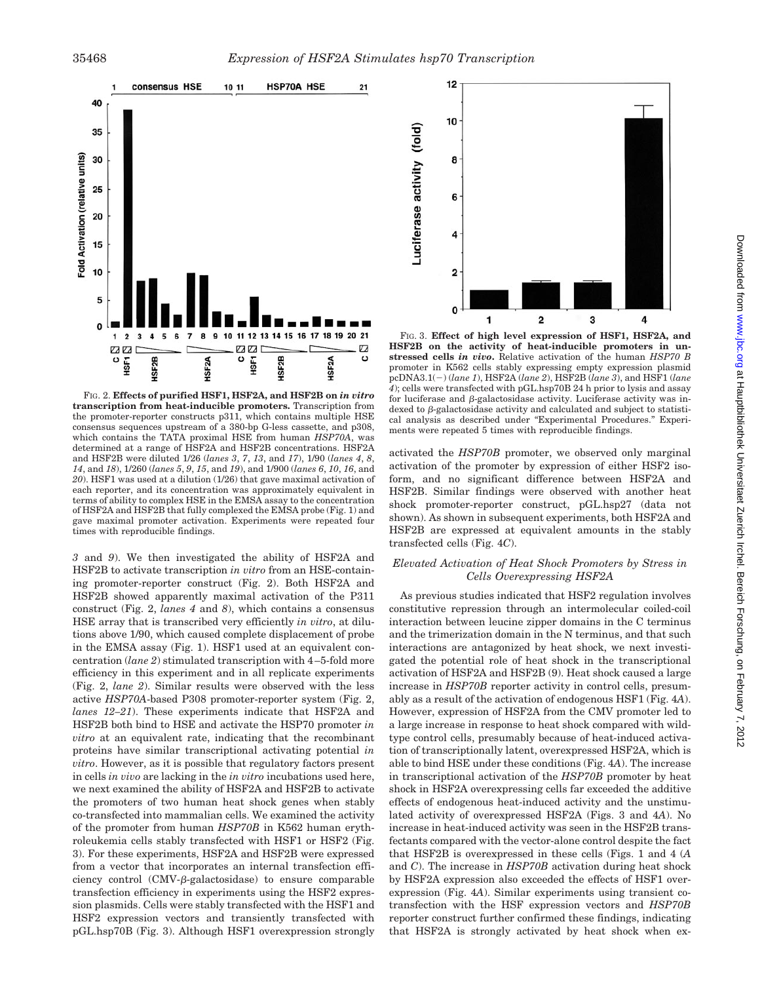

FIG. 2. **Effects of purified HSF1, HSF2A, and HSF2B on** *in vitro* **transcription from heat-inducible promoters.** Transcription from the promoter-reporter constructs p311, which contains multiple HSE consensus sequences upstream of a 380-bp G-less cassette, and p308, which contains the TATA proximal HSE from human *HSP70A*, was determined at a range of HSF2A and HSF2B concentrations. HSF2A and HSF2B were diluted 1/26 (*lanes 3*, *7*, *13*, and *17*), 1/90 (*lanes 4*, *8*, *14*, and *18*), 1/260 (*lanes 5*, *9*, *15*, and *19*), and 1/900 (*lanes 6*, *10*, *16*, and *20*). HSF1 was used at a dilution (1/26) that gave maximal activation of each reporter, and its concentration was approximately equivalent in terms of ability to complex HSE in the EMSA assay to the concentration of HSF2A and HSF2B that fully complexed the EMSA probe (Fig. 1) and gave maximal promoter activation. Experiments were repeated four times with reproducible findings.

*3* and *9*). We then investigated the ability of HSF2A and HSF2B to activate transcription *in vitro* from an HSE-containing promoter-reporter construct (Fig. 2). Both HSF2A and HSF2B showed apparently maximal activation of the P311 construct (Fig. 2, *lanes 4* and *8*), which contains a consensus HSE array that is transcribed very efficiently *in vitro*, at dilutions above 1/90, which caused complete displacement of probe in the EMSA assay (Fig. 1). HSF1 used at an equivalent concentration (*lane 2*) stimulated transcription with 4 –5-fold more efficiency in this experiment and in all replicate experiments (Fig. 2, *lane 2*). Similar results were observed with the less active *HSP70A*-based P308 promoter-reporter system (Fig. 2, *lanes 12–21*). These experiments indicate that HSF2A and HSF2B both bind to HSE and activate the HSP70 promoter *in vitro* at an equivalent rate, indicating that the recombinant proteins have similar transcriptional activating potential *in vitro*. However, as it is possible that regulatory factors present in cells *in vivo* are lacking in the *in vitro* incubations used here, we next examined the ability of HSF2A and HSF2B to activate the promoters of two human heat shock genes when stably co-transfected into mammalian cells. We examined the activity of the promoter from human *HSP70B* in K562 human erythroleukemia cells stably transfected with HSF1 or HSF2 (Fig. 3). For these experiments, HSF2A and HSF2B were expressed from a vector that incorporates an internal transfection efficiency control  $(CMV- $\beta$ -galactosidase)$  to ensure comparable transfection efficiency in experiments using the HSF2 expression plasmids. Cells were stably transfected with the HSF1 and HSF2 expression vectors and transiently transfected with pGL.hsp70B (Fig. 3). Although HSF1 overexpression strongly



FIG. 3. **Effect of high level expression of HSF1, HSF2A, and HSF2B on the activity of heat-inducible promoters in unstressed cells** *in vivo***.** Relative activation of the human *HSP70 B* promoter in K562 cells stably expressing empty expression plasmid pcDNA3.1() (*lane 1*), HSF2A (*lane 2*), HSF2B (*lane 3*), and HSF1 (*lane 4*); cells were transfected with pGL.hsp70B 24 h prior to lysis and assay for luciferase and  $\beta$ -galactosidase activity. Luciferase activity was indexed to  $\beta$ -galactosidase activity and calculated and subject to statistical analysis as described under "Experimental Procedures." Experiments were repeated 5 times with reproducible findings.

activated the *HSP70B* promoter, we observed only marginal activation of the promoter by expression of either HSF2 isoform, and no significant difference between HSF2A and HSF2B. Similar findings were observed with another heat shock promoter-reporter construct, pGL.hsp27 (data not shown). As shown in subsequent experiments, both HSF2A and HSF2B are expressed at equivalent amounts in the stably transfected cells (Fig. 4*C*).

## *Elevated Activation of Heat Shock Promoters by Stress in Cells Overexpressing HSF2A*

As previous studies indicated that HSF2 regulation involves constitutive repression through an intermolecular coiled-coil interaction between leucine zipper domains in the C terminus and the trimerization domain in the N terminus, and that such interactions are antagonized by heat shock, we next investigated the potential role of heat shock in the transcriptional activation of HSF2A and HSF2B (9). Heat shock caused a large increase in *HSP70B* reporter activity in control cells, presumably as a result of the activation of endogenous HSF1 (Fig. 4*A*). However, expression of HSF2A from the CMV promoter led to a large increase in response to heat shock compared with wildtype control cells, presumably because of heat-induced activation of transcriptionally latent, overexpressed HSF2A, which is able to bind HSE under these conditions (Fig. 4*A*). The increase in transcriptional activation of the *HSP70B* promoter by heat shock in HSF2A overexpressing cells far exceeded the additive effects of endogenous heat-induced activity and the unstimulated activity of overexpressed HSF2A (Figs. 3 and 4*A*). No increase in heat-induced activity was seen in the HSF2B transfectants compared with the vector-alone control despite the fact that HSF2B is overexpressed in these cells (Figs. 1 and 4 (*A* and *C*). The increase in *HSP70B* activation during heat shock by HSF2A expression also exceeded the effects of HSF1 overexpression (Fig. 4*A*). Similar experiments using transient cotransfection with the HSF expression vectors and *HSP70B* reporter construct further confirmed these findings, indicating that HSF2A is strongly activated by heat shock when ex-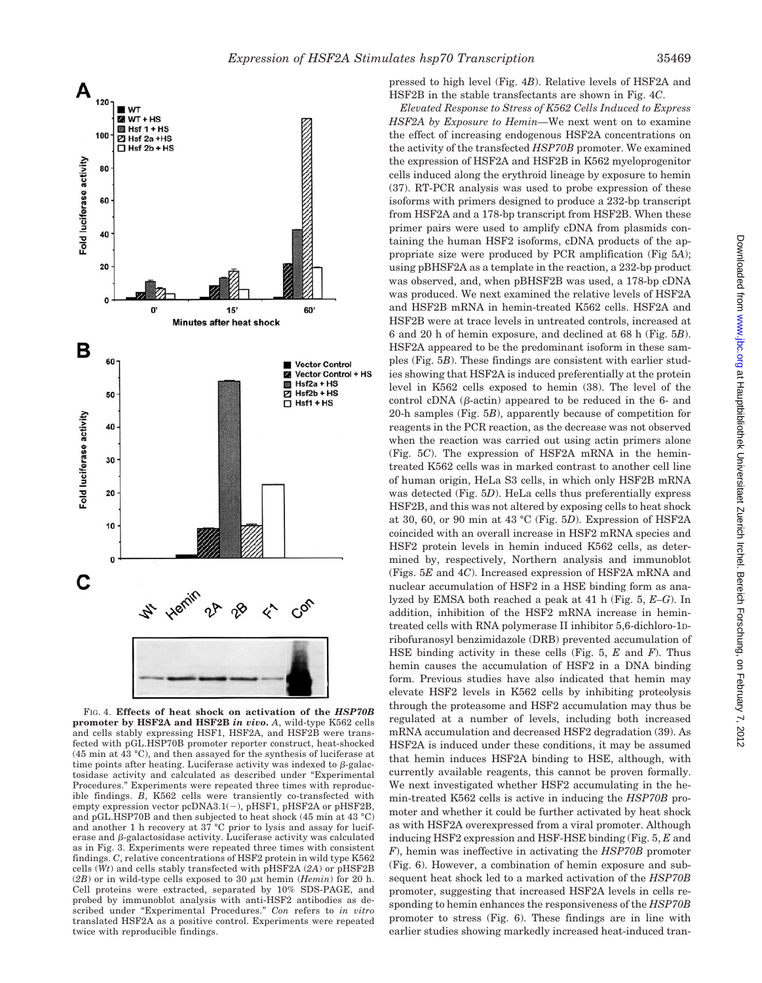

FIG. 4. **Effects of heat shock on activation of the** *HSP70B* **promoter by HSF2A and HSF2B** *in vivo***.** *A*, wild-type K562 cells and cells stably expressing HSF1, HSF2A, and HSF2B were transfected with pGL.HSP70B promoter reporter construct, heat-shocked (45 min at 43 °C), and then assayed for the synthesis of luciferase at time points after heating. Luciferase activity was indexed to  $\beta$ -galactosidase activity and calculated as described under "Experimental Procedures." Experiments were repeated three times with reproducible findings. *B*, K562 cells were transiently co-transfected with empty expression vector pcDNA3.1(-), pHSF1, pHSF2A or pHSF2B, and pGL.HSP70B and then subjected to heat shock (45 min at 43 °C) and another 1 h recovery at 37 °C prior to lysis and assay for luciferase and  $\beta$ -galactosidase activity. Luciferase activity was calculated as in Fig. 3. Experiments were repeated three times with consistent findings. *C*, relative concentrations of HSF2 protein in wild type K562 cells (*Wt*) and cells stably transfected with pHSF2A (*2A*) or pHSF2B (2B) or in wild-type cells exposed to 30  $\mu$ M hemin (*Hemin*) for 20 h. Cell proteins were extracted, separated by 10% SDS-PAGE, and probed by immunoblot analysis with anti-HSF2 antibodies as described under "Experimental Procedures." *Con* refers to *in vitro* translated HSF2A as a positive control. Experiments were repeated twice with reproducible findings.

pressed to high level (Fig. 4*B*). Relative levels of HSF2A and HSF2B in the stable transfectants are shown in Fig. 4*C*.

*Elevated Response to Stress of K562 Cells Induced to Express HSF2A by Exposure to Hemin—*We next went on to examine the effect of increasing endogenous HSF2A concentrations on the activity of the transfected *HSP70B* promoter. We examined the expression of HSF2A and HSF2B in K562 myeloprogenitor cells induced along the erythroid lineage by exposure to hemin (37). RT-PCR analysis was used to probe expression of these isoforms with primers designed to produce a 232-bp transcript from HSF2A and a 178-bp transcript from HSF2B. When these primer pairs were used to amplify cDNA from plasmids containing the human HSF2 isoforms, cDNA products of the appropriate size were produced by PCR amplification (Fig 5*A*); using pBHSF2A as a template in the reaction, a 232-bp product was observed, and, when pBHSF2B was used, a 178-bp cDNA was produced. We next examined the relative levels of HSF2A and HSF2B mRNA in hemin-treated K562 cells. HSF2A and HSF2B were at trace levels in untreated controls, increased at 6 and 20 h of hemin exposure, and declined at 68 h (Fig. 5*B*). HSF2A appeared to be the predominant isoform in these samples (Fig. 5*B*). These findings are consistent with earlier studies showing that HSF2A is induced preferentially at the protein level in K562 cells exposed to hemin (38). The level of the control cDNA  $(\beta$ -actin) appeared to be reduced in the 6- and 20-h samples (Fig. 5*B*), apparently because of competition for reagents in the PCR reaction, as the decrease was not observed when the reaction was carried out using actin primers alone (Fig. 5*C*). The expression of HSF2A mRNA in the hemintreated K562 cells was in marked contrast to another cell line of human origin, HeLa S3 cells, in which only HSF2B mRNA was detected (Fig. 5*D*). HeLa cells thus preferentially express HSF2B, and this was not altered by exposing cells to heat shock at 30, 60, or 90 min at 43 °C (Fig. 5*D*). Expression of HSF2A coincided with an overall increase in HSF2 mRNA species and HSF2 protein levels in hemin induced K562 cells, as determined by, respectively, Northern analysis and immunoblot (Figs. 5*E* and 4*C*). Increased expression of HSF2A mRNA and nuclear accumulation of HSF2 in a HSE binding form as analyzed by EMSA both reached a peak at 41 h (Fig. 5, *E–G*). In addition, inhibition of the HSF2 mRNA increase in hemintreated cells with RNA polymerase II inhibitor 5,6-dichloro-1Dribofuranosyl benzimidazole (DRB) prevented accumulation of HSE binding activity in these cells (Fig. 5, *E* and *F*). Thus hemin causes the accumulation of HSF2 in a DNA binding form. Previous studies have also indicated that hemin may elevate HSF2 levels in K562 cells by inhibiting proteolysis through the proteasome and HSF2 accumulation may thus be regulated at a number of levels, including both increased mRNA accumulation and decreased HSF2 degradation (39). As HSF2A is induced under these conditions, it may be assumed that hemin induces HSF2A binding to HSE, although, with currently available reagents, this cannot be proven formally. We next investigated whether HSF2 accumulating in the hemin-treated K562 cells is active in inducing the *HSP70B* promoter and whether it could be further activated by heat shock as with HSF2A overexpressed from a viral promoter. Although inducing HSF2 expression and HSF-HSE binding (Fig. 5, *E* and *F*), hemin was ineffective in activating the *HSP70B* promoter (Fig. 6). However, a combination of hemin exposure and subsequent heat shock led to a marked activation of the *HSP70B* promoter, suggesting that increased HSF2A levels in cells responding to hemin enhances the responsiveness of the *HSP70B* promoter to stress (Fig. 6). These findings are in line with earlier studies showing markedly increased heat-induced tran-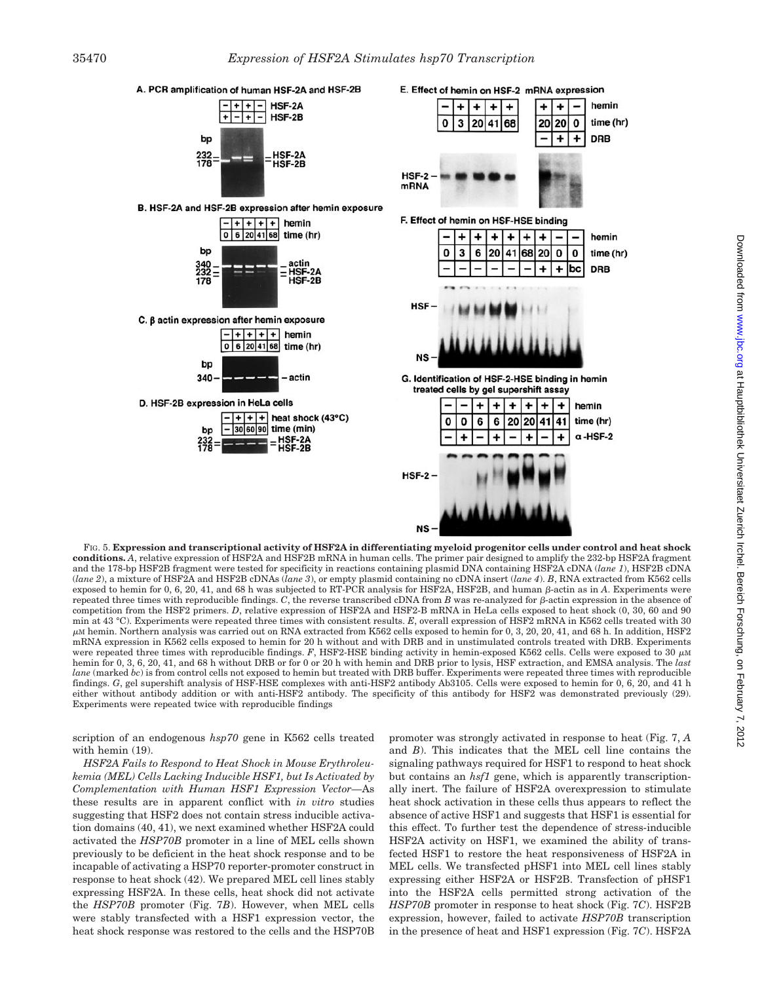

FIG. 5. **Expression and transcriptional activity of HSF2A in differentiating myeloid progenitor cells under control and heat shock conditions.** *A*, relative expression of HSF2A and HSF2B mRNA in human cells. The primer pair designed to amplify the 232-bp HSF2A fragment and the 178-bp HSF2B fragment were tested for specificity in reactions containing plasmid DNA containing HSF2A cDNA (*lane 1*), HSF2B cDNA (*lane 2*), a mixture of HSF2A and HSF2B cDNAs (*lane 3*), or empty plasmid containing no cDNA insert (*lane 4*). *B*, RNA extracted from K562 cells exposed to hemin for  $0, 6, 20, 41$ , and  $68$  h was subjected to RT-PCR analysis for HSF2A, HSF2B, and human  $\beta$ -actin as in  $A$ . Experiments were repeated three times with reproducible findings.  $C$ , the reverse transcribed cDNA from  $B$  was re-analyzed for  $\beta$ -actin expression in the absence of competition from the HSF2 primers. *D*, relative expression of HSF2A and HSF2-B mRNA in HeLa cells exposed to heat shock (0, 30, 60 and 90 min at 43 °C). Experiments were repeated three times with consistent results. *E*, overall expression of HSF2 mRNA in K562 cells treated with 30  $\mu$ м hemin. Northern analysis was carried out on RNA extracted from K562 cells exposed to hemin for 0, 3, 20, 20, 41, and 68 h. In addition, HSF2 mRNA expression in K562 cells exposed to hemin for 20 h without and with DRB and in unstimulated controls treated with DRB. Experiments were repeated three times with reproducible findings. F, HSF2-HSE binding activity in hemin-exposed K562 cells. Cells were exposed to 30  $\mu$ M hemin for 0, 3, 6, 20, 41, and 68 h without DRB or for 0 or 20 h with hemin and DRB prior to lysis, HSF extraction, and EMSA analysis. The *last lane* (marked *bc*) is from control cells not exposed to hemin but treated with DRB buffer. Experiments were repeated three times with reproducible findings. *G*, gel supershift analysis of HSF-HSE complexes with anti-HSF2 antibody Ab3105. Cells were exposed to hemin for 0, 6, 20, and 41 h either without antibody addition or with anti-HSF2 antibody. The specificity of this antibody for HSF2 was demonstrated previously (29). Experiments were repeated twice with reproducible findings

scription of an endogenous *hsp70* gene in K562 cells treated with hemin (19).

*HSF2A Fails to Respond to Heat Shock in Mouse Erythroleukemia (MEL) Cells Lacking Inducible HSF1, but Is Activated by Complementation with Human HSF1 Expression Vector—*As these results are in apparent conflict with *in vitro* studies suggesting that HSF2 does not contain stress inducible activation domains (40, 41), we next examined whether HSF2A could activated the *HSP70B* promoter in a line of MEL cells shown previously to be deficient in the heat shock response and to be incapable of activating a HSP70 reporter-promoter construct in response to heat shock (42). We prepared MEL cell lines stably expressing HSF2A. In these cells, heat shock did not activate the *HSP70B* promoter (Fig. 7*B*). However, when MEL cells were stably transfected with a HSF1 expression vector, the heat shock response was restored to the cells and the HSP70B promoter was strongly activated in response to heat (Fig. 7, *A* and *B*). This indicates that the MEL cell line contains the signaling pathways required for HSF1 to respond to heat shock but contains an *hsf1* gene, which is apparently transcriptionally inert. The failure of HSF2A overexpression to stimulate heat shock activation in these cells thus appears to reflect the absence of active HSF1 and suggests that HSF1 is essential for this effect. To further test the dependence of stress-inducible HSF2A activity on HSF1, we examined the ability of transfected HSF1 to restore the heat responsiveness of HSF2A in MEL cells. We transfected pHSF1 into MEL cell lines stably expressing either HSF2A or HSF2B. Transfection of pHSF1 into the HSF2A cells permitted strong activation of the *HSP70B* promoter in response to heat shock (Fig. 7*C*). HSF2B expression, however, failed to activate *HSP70B* transcription in the presence of heat and HSF1 expression (Fig. 7*C*). HSF2A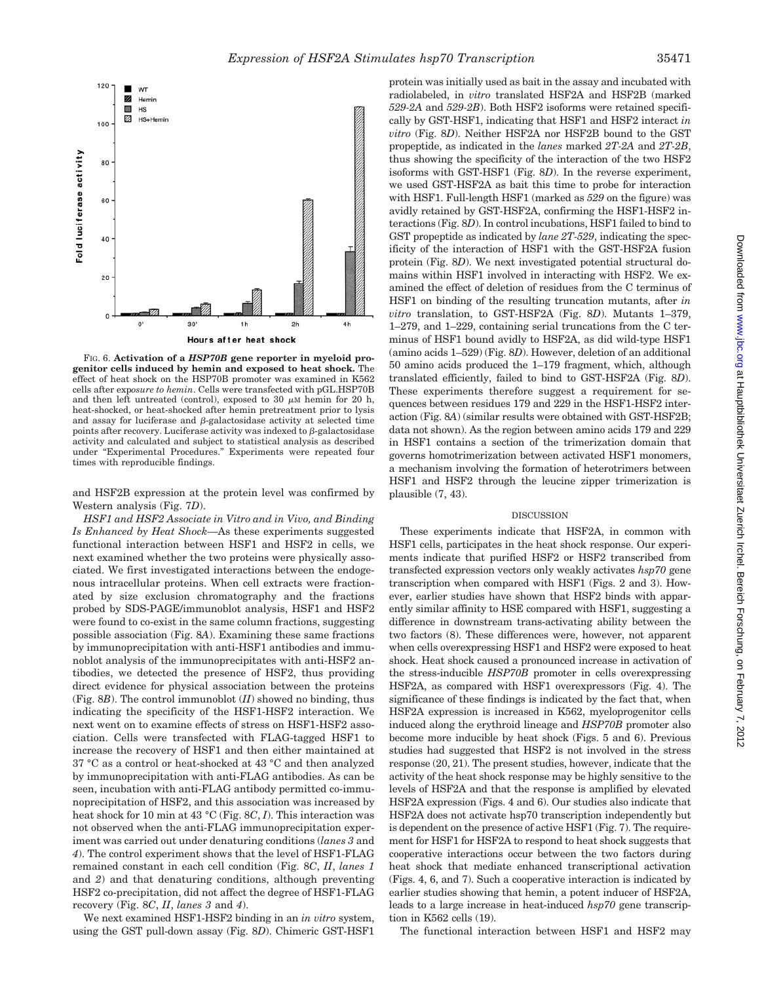

FIG. 6. **Activation of a** *HSP70B* **gene reporter in myeloid progenitor cells induced by hemin and exposed to heat shock.** The effect of heat shock on the HSP70B promoter was examined in K562 cells after exp*osure to hemin*. Cells were transfected with pGL.HSP70B and then left untreated (control), exposed to 30  $\mu$ M hemin for 20 h, heat-shocked, or heat-shocked after hemin pretreatment prior to lysis and assay for luciferase and  $\beta$ -galactosidase activity at selected time points after recovery. Luciferase activity was indexed to  $\beta$ -galactosidase activity and calculated and subject to statistical analysis as described under "Experimental Procedures." Experiments were repeated four times with reproducible findings.

and HSF2B expression at the protein level was confirmed by Western analysis (Fig. 7*D*).

*HSF1 and HSF2 Associate in Vitro and in Vivo, and Binding Is Enhanced by Heat Shock—*As these experiments suggested functional interaction between HSF1 and HSF2 in cells, we next examined whether the two proteins were physically associated. We first investigated interactions between the endogenous intracellular proteins. When cell extracts were fractionated by size exclusion chromatography and the fractions probed by SDS-PAGE/immunoblot analysis, HSF1 and HSF2 were found to co-exist in the same column fractions, suggesting possible association (Fig. 8*A*). Examining these same fractions by immunoprecipitation with anti-HSF1 antibodies and immunoblot analysis of the immunoprecipitates with anti-HSF2 antibodies, we detected the presence of HSF2, thus providing direct evidence for physical association between the proteins (Fig. 8*B*). The control immunoblot (*II*) showed no binding, thus indicating the specificity of the HSF1-HSF2 interaction. We next went on to examine effects of stress on HSF1-HSF2 association. Cells were transfected with FLAG-tagged HSF1 to increase the recovery of HSF1 and then either maintained at 37 °C as a control or heat-shocked at 43 °C and then analyzed by immunoprecipitation with anti-FLAG antibodies. As can be seen, incubation with anti-FLAG antibody permitted co-immunoprecipitation of HSF2, and this association was increased by heat shock for 10 min at 43 °C (Fig. 8*C*, *I*). This interaction was not observed when the anti-FLAG immunoprecipitation experiment was carried out under denaturing conditions (*lanes 3* and *4*). The control experiment shows that the level of HSF1-FLAG remained constant in each cell condition (Fig. 8*C*, *II*, *lanes 1* and *2*) and that denaturing conditions, although preventing HSF2 co-precipitation, did not affect the degree of HSF1-FLAG recovery (Fig. 8*C*, *II*, *lanes 3* and *4*).

We next examined HSF1-HSF2 binding in an *in vitro* system, using the GST pull-down assay (Fig. 8*D*). Chimeric GST-HSF1 protein was initially used as bait in the assay and incubated with radiolabeled, in *vitro* translated HSF2A and HSF2B (marked *529-2A* and *529-2B*). Both HSF2 isoforms were retained specifically by GST-HSF1, indicating that HSF1 and HSF2 interact *in vitro* (Fig. 8*D*). Neither HSF2A nor HSF2B bound to the GST propeptide, as indicated in the *lanes* marked *2T-2A* and *2T-2B*, thus showing the specificity of the interaction of the two HSF2 isoforms with GST-HSF1 (Fig. 8*D*). In the reverse experiment, we used GST-HSF2A as bait this time to probe for interaction with HSF1. Full-length HSF1 (marked as *529* on the figure) was avidly retained by GST-HSF2A, confirming the HSF1-HSF2 interactions (Fig. 8*D*). In control incubations, HSF1 failed to bind to GST propeptide as indicated by *lane 2T-529*, indicating the specificity of the interaction of HSF1 with the GST-HSF2A fusion protein (Fig. 8*D*). We next investigated potential structural domains within HSF1 involved in interacting with HSF2. We examined the effect of deletion of residues from the C terminus of HSF1 on binding of the resulting truncation mutants, after *in vitro* translation, to GST-HSF2A (Fig. 8*D*). Mutants 1–379, 1–279, and 1–229, containing serial truncations from the C terminus of HSF1 bound avidly to HSF2A, as did wild-type HSF1 (amino acids 1–529) (Fig. 8*D*). However, deletion of an additional 50 amino acids produced the 1–179 fragment, which, although translated efficiently, failed to bind to GST-HSF2A (Fig. 8*D*). These experiments therefore suggest a requirement for sequences between residues 179 and 229 in the HSF1-HSF2 interaction (Fig. 8*A*) (similar results were obtained with GST-HSF2B; data not shown). As the region between amino acids 179 and 229 in HSF1 contains a section of the trimerization domain that governs homotrimerization between activated HSF1 monomers, a mechanism involving the formation of heterotrimers between HSF1 and HSF2 through the leucine zipper trimerization is plausible (7, 43).

### DISCUSSION

These experiments indicate that HSF2A, in common with HSF1 cells, participates in the heat shock response. Our experiments indicate that purified HSF2 or HSF2 transcribed from transfected expression vectors only weakly activates *hsp70* gene transcription when compared with HSF1 (Figs. 2 and 3). However, earlier studies have shown that HSF2 binds with apparently similar affinity to HSE compared with HSF1, suggesting a difference in downstream trans-activating ability between the two factors (8). These differences were, however, not apparent when cells overexpressing HSF1 and HSF2 were exposed to heat shock. Heat shock caused a pronounced increase in activation of the stress-inducible *HSP70B* promoter in cells overexpressing HSF2A, as compared with HSF1 overexpressors (Fig. 4). The significance of these findings is indicated by the fact that, when HSF2A expression is increased in K562, myeloprogenitor cells induced along the erythroid lineage and *HSP70B* promoter also become more inducible by heat shock (Figs. 5 and 6). Previous studies had suggested that HSF2 is not involved in the stress response (20, 21). The present studies, however, indicate that the activity of the heat shock response may be highly sensitive to the levels of HSF2A and that the response is amplified by elevated HSF2A expression (Figs. 4 and 6). Our studies also indicate that HSF2A does not activate hsp70 transcription independently but is dependent on the presence of active HSF1 (Fig. 7). The requirement for HSF1 for HSF2A to respond to heat shock suggests that cooperative interactions occur between the two factors during heat shock that mediate enhanced transcriptional activation (Figs. 4, 6, and 7). Such a cooperative interaction is indicated by earlier studies showing that hemin, a potent inducer of HSF2A, leads to a large increase in heat-induced *hsp70* gene transcription in K562 cells (19).

The functional interaction between HSF1 and HSF2 may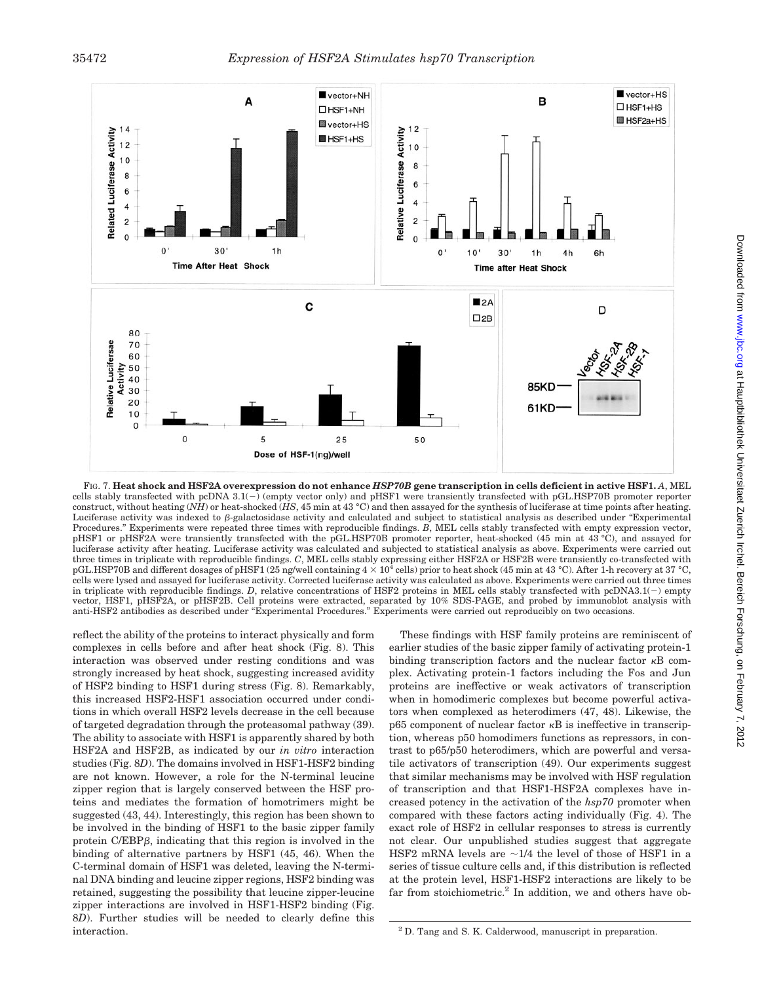

FIG. 7. **Heat shock and HSF2A overexpression do not enhance** *HSP70B* **gene transcription in cells deficient in active HSF1.** *A*, MEL cells stably transfected with pcDNA  $3.1(-)$  (empty vector only) and pHSF1 were transiently transfected with pGL.HSP70B promoter reporter construct, without heating (*NH*) or heat-shocked (*HS*, 45 min at 43 °C) and then assayed for the synthesis of luciferase at time points after heating. Luciferase activity was indexed to *B*-galactosidase activity and calculated and subject to statistical analysis as described under "Experimental" Procedures." Experiments were repeated three times with reproducible findings. *B*, MEL cells stably transfected with empty expression vector, pHSF1 or pHSF2A were transiently transfected with the pGL.HSP70B promoter reporter, heat-shocked (45 min at 43 °C), and assayed for luciferase activity after heating. Luciferase activity was calculated and subjected to statistical analysis as above. Experiments were carried out three times in triplicate with reproducible findings. *C*, MEL cells stably expressing either HSF2A or HSF2B were transiently co-transfected with pGL.HSP70B and different dosages of pHSF1 (25 ng/well containing  $4 \times 10^4$  cells) prior to heat shock (45 min at 43 °C). After 1-h recovery at 37 °C, cells were lysed and assayed for luciferase activity. Corrected luciferase activity was calculated as above. Experiments were carried out three times in triplicate with reproducible findings. *D*, relative concentrations of HSF2 proteins in MEL cells stably transfected with pcDNA3.1() empty vector, HSF1, pHSF2A, or pHSF2B. Cell proteins were extracted, separated by 10% SDS-PAGE, and probed by immunoblot analysis with anti-HSF2 antibodies as described under "Experimental Procedures." Experiments were carried out reproducibly on two occasions.

reflect the ability of the proteins to interact physically and form complexes in cells before and after heat shock (Fig. 8). This interaction was observed under resting conditions and was strongly increased by heat shock, suggesting increased avidity of HSF2 binding to HSF1 during stress (Fig. 8). Remarkably, this increased HSF2-HSF1 association occurred under conditions in which overall HSF2 levels decrease in the cell because of targeted degradation through the proteasomal pathway (39). The ability to associate with HSF1 is apparently shared by both HSF2A and HSF2B, as indicated by our *in vitro* interaction studies (Fig. 8*D*). The domains involved in HSF1-HSF2 binding are not known. However, a role for the N-terminal leucine zipper region that is largely conserved between the HSF proteins and mediates the formation of homotrimers might be suggested (43, 44). Interestingly, this region has been shown to be involved in the binding of HSF1 to the basic zipper family protein C/EBP<sub>B</sub>, indicating that this region is involved in the binding of alternative partners by HSF1 (45, 46). When the C-terminal domain of HSF1 was deleted, leaving the N-terminal DNA binding and leucine zipper regions, HSF2 binding was retained, suggesting the possibility that leucine zipper-leucine zipper interactions are involved in HSF1-HSF2 binding (Fig. 8*D*). Further studies will be needed to clearly define this interaction.

These findings with HSF family proteins are reminiscent of earlier studies of the basic zipper family of activating protein-1 binding transcription factors and the nuclear factor  $\kappa$ B complex. Activating protein-1 factors including the Fos and Jun proteins are ineffective or weak activators of transcription when in homodimeric complexes but become powerful activators when complexed as heterodimers (47, 48). Likewise, the  $p65$  component of nuclear factor  $\kappa B$  is ineffective in transcription, whereas p50 homodimers functions as repressors, in contrast to p65/p50 heterodimers, which are powerful and versatile activators of transcription (49). Our experiments suggest that similar mechanisms may be involved with HSF regulation of transcription and that HSF1-HSF2A complexes have increased potency in the activation of the *hsp70* promoter when compared with these factors acting individually (Fig. 4). The exact role of HSF2 in cellular responses to stress is currently not clear. Our unpublished studies suggest that aggregate HSF2 mRNA levels are  $\sim$ 1/4 the level of those of HSF1 in a series of tissue culture cells and, if this distribution is reflected at the protein level, HSF1-HSF2 interactions are likely to be far from stoichiometric.<sup>2</sup> In addition, we and others have ob-

<sup>&</sup>lt;sup>2</sup> D. Tang and S. K. Calderwood, manuscript in preparation.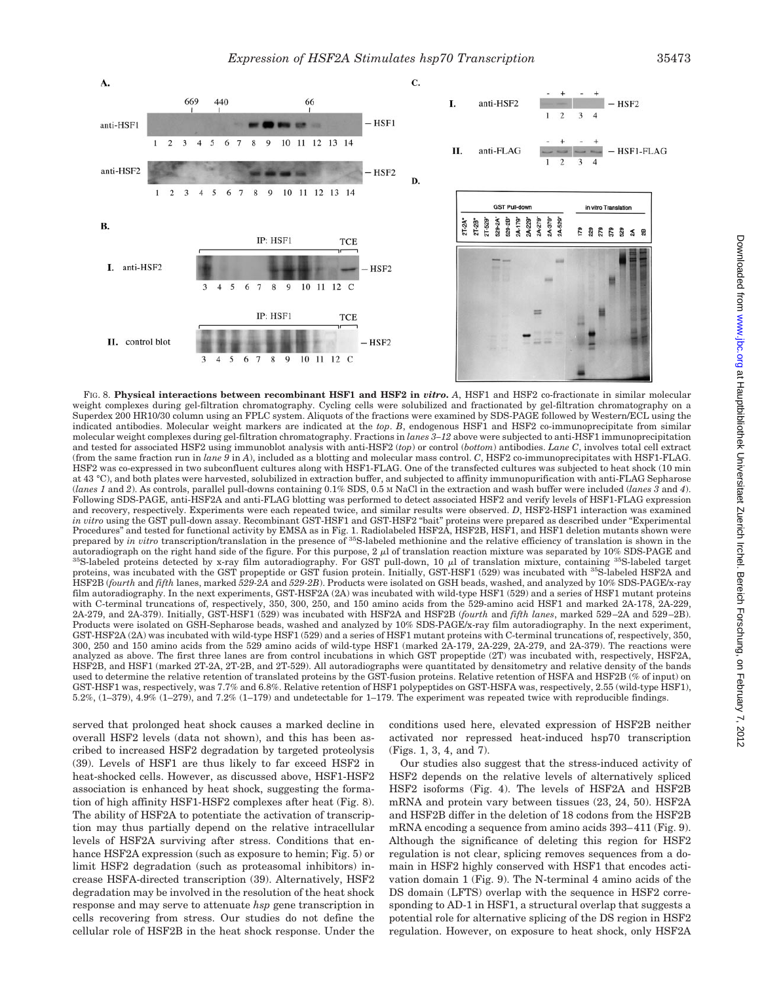

FIG. 8. **Physical interactions between recombinant HSF1 and HSF2 in** *vitro***.** *A*, HSF1 and HSF2 co-fractionate in similar molecular weight complexes during gel-filtration chromatography. Cycling cells were solubilized and fractionated by gel-filtration chromatography on a Superdex 200 HR10/30 column using an FPLC system. Aliquots of the fractions were examined by SDS-PAGE followed by Western/ECL using the indicated antibodies. Molecular weight markers are indicated at the *top*. *B*, endogenous HSF1 and HSF2 co-immunoprecipitate from similar molecular weight complexes during gel-filtration chromatography. Fractions in *lanes 3–12* above were subjected to anti-HSF1 immunoprecipitation and tested for associated HSF2 using immunoblot analysis with anti-HSF2 (*top*) or control (*bottom*) antibodies. *Lane C*, involves total cell extract (from the same fraction run in *lane 9* in *A*), included as a blotting and molecular mass control. *C*, HSF2 co-immunoprecipitates with HSF1-FLAG. HSF2 was co-expressed in two subconfluent cultures along with HSF1-FLAG. One of the transfected cultures was subjected to heat shock (10 min at 43 °C), and both plates were harvested, solubilized in extraction buffer, and subjected to affinity immunopurification with anti-FLAG Sepharose (*lanes 1* and *2*). As controls, parallel pull-downs containing 0.1% SDS, 0.5 M NaCl in the extraction and wash buffer were included (*lanes 3* and *4*). Following SDS-PAGE, anti-HSF2A and anti-FLAG blotting was performed to detect associated HSF2 and verify levels of HSF1-FLAG expression and recovery, respectively. Experiments were each repeated twice, and similar results were observed. *D*, HSF2-HSF1 interaction was examined *in vitro* using the GST pull-down assay. Recombinant GST-HSF1 and GST-HSF2 "bait" proteins were prepared as described under "Experimental Procedures" and tested for functional activity by EMSA as in Fig. 1. Radiolabeled HSF2A, HSF2B, HSF1, and HSF1 deletion mutants shown were<br>prepared by *in vitro t*ranscription/translation in the presence of <sup>35</sup>S-labeled m autoradiograph on the right hand side of the figure. For this purpose, 2  $\mu$ l of translation reaction mixture was separated by 10% SDS-PAGE and autoradiograph on the right hand side of the figure. For this purpose, 2 µl of translation reaction mixture was separated by 10% SDS-PAGE and<br><sup>35</sup>S-labeled proteins detected by x-ray film autoradiography. For GST pull-dow proteins, was incubated with the GST propeptide or GST fusion protein. Initially, GST-HSF1 (529) was incubated with 35S-labeled HSF2A and HSF2B (*fourth* and *fifth* lanes, marked *529-2A* and *529-2B*). Products were isolated on GSH beads, washed, and analyzed by 10% SDS-PAGE/x-ray film autoradiography. In the next experiments, GST-HSF2A (2A) was incubated with wild-type HSF1 (529) and a series of HSF1 mutant proteins with C-terminal truncations of, respectively, 350, 300, 250, and 150 amino acids from the 529-amino acid HSF1 and marked 2A-178, 2A-229, 2A-279, and 2A-379). Initially, GST-HSF1 (529) was incubated with HSF2A and HSF2B (*fourth* and *fifth lanes*, marked 529 –2A and 529 –2B). Products were isolated on GSH-Sepharose beads, washed and analyzed by 10% SDS-PAGE/x-ray film autoradiography. In the next experiment, GST-HSF2A (2A) was incubated with wild-type HSF1 (529) and a series of HSF1 mutant proteins with C-terminal truncations of, respectively, 350, 300, 250 and 150 amino acids from the 529 amino acids of wild-type HSF1 (marked 2A-179, 2A-229, 2A-279, and 2A-379). The reactions were analyzed as above. The first three lanes are from control incubations in which GST propeptide (2T) was incubated with, respectively, HSF2A, HSF2B, and HSF1 (marked 2T-2A, 2T-2B, and 2T-529). All autoradiographs were quantitated by densitometry and relative density of the bands used to determine the relative retention of translated proteins by the GST-fusion proteins. Relative retention of HSFA and HSF2B (% of input) on GST-HSF1 was, respectively, was 7.7% and 6.8%. Relative retention of HSF1 polypeptides on GST-HSFA was, respectively, 2.55 (wild-type HSF1), 5.2%, (1–379), 4.9% (1–279), and 7.2% (1–179) and undetectable for 1–179. The experiment was repeated twice with reproducible findings.

served that prolonged heat shock causes a marked decline in overall HSF2 levels (data not shown), and this has been ascribed to increased HSF2 degradation by targeted proteolysis (39). Levels of HSF1 are thus likely to far exceed HSF2 in heat-shocked cells. However, as discussed above, HSF1-HSF2 association is enhanced by heat shock, suggesting the formation of high affinity HSF1-HSF2 complexes after heat (Fig. 8). The ability of HSF2A to potentiate the activation of transcription may thus partially depend on the relative intracellular levels of HSF2A surviving after stress. Conditions that enhance HSF2A expression (such as exposure to hemin; Fig. 5) or limit HSF2 degradation (such as proteasomal inhibitors) increase HSFA-directed transcription (39). Alternatively, HSF2 degradation may be involved in the resolution of the heat shock response and may serve to attenuate *hsp* gene transcription in cells recovering from stress. Our studies do not define the cellular role of HSF2B in the heat shock response. Under the

conditions used here, elevated expression of HSF2B neither activated nor repressed heat-induced hsp70 transcription (Figs. 1, 3, 4, and 7).

Our studies also suggest that the stress-induced activity of HSF2 depends on the relative levels of alternatively spliced HSF2 isoforms (Fig. 4). The levels of HSF2A and HSF2B mRNA and protein vary between tissues (23, 24, 50). HSF2A and HSF2B differ in the deletion of 18 codons from the HSF2B mRNA encoding a sequence from amino acids 393– 411 (Fig. 9). Although the significance of deleting this region for HSF2 regulation is not clear, splicing removes sequences from a domain in HSF2 highly conserved with HSF1 that encodes activation domain 1 (Fig. 9). The N-terminal 4 amino acids of the DS domain (LFTS) overlap with the sequence in HSF2 corresponding to AD-1 in HSF1, a structural overlap that suggests a potential role for alternative splicing of the DS region in HSF2 regulation. However, on exposure to heat shock, only HSF2A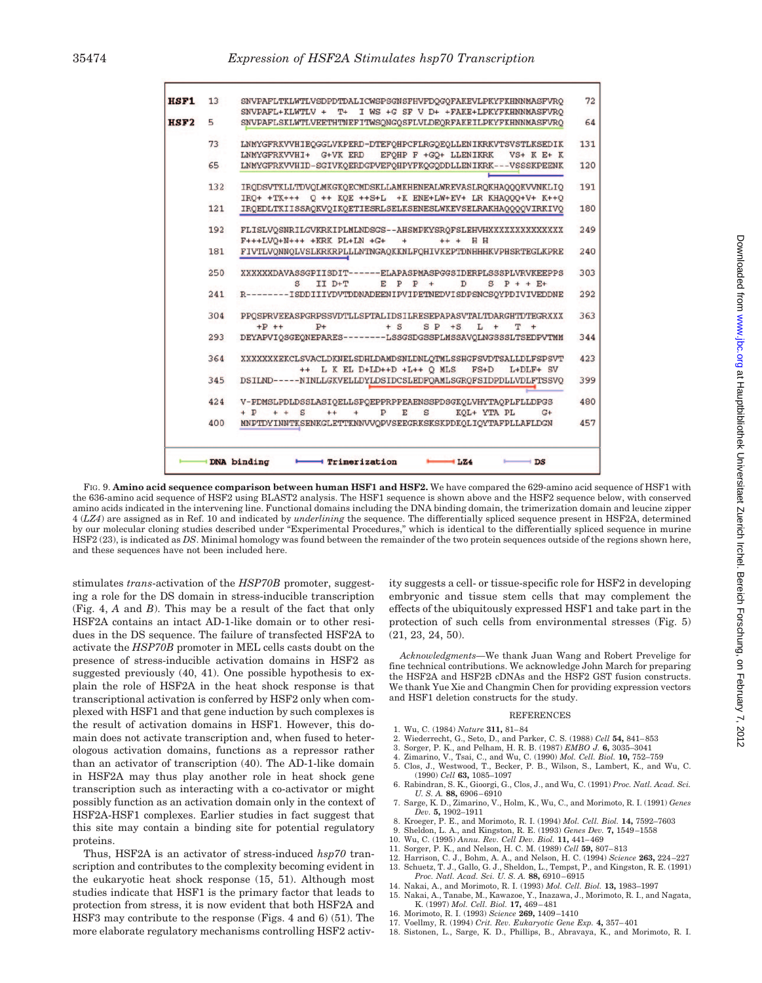| 72  | SNVPAFLTKLWTLVSDPDTDALICWSPSGNSFHVFDQGQFAKEVLPKYFKHNNMASFVRO<br>SNVPAFL+KLWTLV + T+ I WS +G SF V D+ +FAKE+LPKYFKHNNMASFVRO                                          | 13  |
|-----|---------------------------------------------------------------------------------------------------------------------------------------------------------------------|-----|
| 64  | SNVPAFLSKLWTLVEETHTNEFITWSQNGQSFLVLDEQRFAKEILPKYFKHNNMASFVRQ                                                                                                        | 5   |
| 131 | LNMYGFRKVVHIEOGGLVKPERD-DTEFOHPCFLRGOEOLLENIKRKVTSVSTLKSEDIK                                                                                                        | 73  |
|     | LNMYGFRKVVHI+ G+VK ERD EFOHP F +GO+ LLENIKRK<br>$VS+ K E+ K$                                                                                                        |     |
| 120 | LNMYGFRKVVHID-SGIVKOERDGPVEFOHPYFKOGODDLLENIKRK---VSSSKPEENK                                                                                                        | 65  |
| 191 | IRODSVTKLLTDVOLMKGKOECMDSKLLAMKHENEALWREVASLROKHAOOOKVVNKLIO<br>IRO+ +TK+++ O ++ KOE ++S+L +K ENE+LW+EV+ LR KHAOOO+V+ K++O                                          | 132 |
| 180 | IRQEDLTKIISSAQKVQIKQETIESRLSELKSENESLWKEVSELRAKHAQQQQVIRKIVQ                                                                                                        | 121 |
| 249 | FLISLVOSNRILGVKRKIPLMLNDSGS--AHSMPKYSROFSLEHVHXXXXXXXXXXXXXX                                                                                                        | 192 |
|     | $F+++LVO+N+++$ + $KRK$ $PL+LN$ + $G+$<br>$+$<br>$++ + H H$                                                                                                          |     |
| 240 | FIVTLVONNOLVSLKRKRPLLLNTNGAOKKNLFOHIVKEPTDNHHHKVPHSRTEGLKPRE                                                                                                        | 181 |
| 303 | XXXXXXDAVASSGPIISDIT------ELAPASPMASPGGSIDERPLSSSPLVRVKEEPPS<br>s<br>II D+T<br>$E$ $P$ $P$ +<br>D<br>$S$ $P + + F$                                                  | 250 |
| 292 | R--------ISDDIIIYDVTDDNADEENIPVIPETNEDVISDPSNCSQYPDIVIVEDDNE                                                                                                        | 241 |
| 363 | PPOSPRVEEASPGRPSSVDTLLSPTALIDSILRESEPAPASVTALTDARGHTDTEGRXXX<br>$+P$ ++<br>$P+$<br>$+ S$<br>$SP + S$<br>$L +$<br>т<br>$+$                                           | 304 |
| 344 | DEYAPVIOSGEONEPARES--------LSSGSDGSSPLMSSAVOLNGSSSLTSEDPVTMM                                                                                                        | 293 |
| 423 | XXXXXXXEKCLSVACLDKNELSDHLDAMDSNLDNLOTMLSSHGFSVDTSALLDLFSPSVT<br>++ L K EL D+LD++D +L++ O MLS<br>$FS+D$<br>$L+DLF+SV$                                                | 364 |
| 399 | DSILND-----NINLLGKVELLDYLDSIDCSLEDFOAMLSGROFSIDPDLLVDLFTSSVO                                                                                                        | 345 |
| 480 | V-PDMSLPDLDSSLASIOELLSPOEPPRPPEAENSSPDSGKOLVHYTAOPLFLLDPGS<br>$+$ $P$<br>$+ +$ S<br>$\mathbf{P}$<br>$\mathbf S$<br>KOL+ YTA PL<br>$^{++}$<br>$\ddot{}$<br>E<br>$G+$ | 424 |
| 457 | MNPTDYINNTKSENKGLETTKNNVVOPVSEEGRKSKSKPDKOLIOYTAFPLLAFLDGN                                                                                                          | 400 |

FIG. 9. **Amino acid sequence comparison between human HSF1 and HSF2.** We have compared the 629-amino acid sequence of HSF1 with the 636-amino acid sequence of HSF2 using BLAST2 analysis. The HSF1 sequence is shown above and the HSF2 sequence below, with conserved amino acids indicated in the intervening line. Functional domains including the DNA binding domain, the trimerization domain and leucine zipper 4 (*LZ4*) are assigned as in Ref. 10 and indicated by *underlining* the sequence. The differentially spliced sequence present in HSF2A, determined by our molecular cloning studies described under "Experimental Procedures," which is identical to the differentially spliced sequence in murine HSF2 (23), is indicated as *DS*. Minimal homology was found between the remainder of the two protein sequences outside of the regions shown here, and these sequences have not been included here.

stimulates *trans*-activation of the *HSP70B* promoter, suggesting a role for the DS domain in stress-inducible transcription (Fig. 4, *A* and *B*). This may be a result of the fact that only HSF2A contains an intact AD-1-like domain or to other residues in the DS sequence. The failure of transfected HSF2A to activate the *HSP70B* promoter in MEL cells casts doubt on the presence of stress-inducible activation domains in HSF2 as suggested previously (40, 41). One possible hypothesis to explain the role of HSF2A in the heat shock response is that transcriptional activation is conferred by HSF2 only when complexed with HSF1 and that gene induction by such complexes is the result of activation domains in HSF1. However, this domain does not activate transcription and, when fused to heterologous activation domains, functions as a repressor rather than an activator of transcription (40). The AD-1-like domain in HSF2A may thus play another role in heat shock gene transcription such as interacting with a co-activator or might possibly function as an activation domain only in the context of HSF2A-HSF1 complexes. Earlier studies in fact suggest that this site may contain a binding site for potential regulatory proteins.

Thus, HSF2A is an activator of stress-induced *hsp70* transcription and contributes to the complexity becoming evident in the eukaryotic heat shock response (15, 51). Although most studies indicate that HSF1 is the primary factor that leads to protection from stress, it is now evident that both HSF2A and HSF3 may contribute to the response (Figs. 4 and 6) (51). The more elaborate regulatory mechanisms controlling HSF2 activity suggests a cell- or tissue-specific role for HSF2 in developing embryonic and tissue stem cells that may complement the effects of the ubiquitously expressed HSF1 and take part in the protection of such cells from environmental stresses (Fig. 5) (21, 23, 24, 50).

*Acknowledgments—*We thank Juan Wang and Robert Prevelige for fine technical contributions. We acknowledge John March for preparing the HSF2A and HSF2B cDNAs and the HSF2 GST fusion constructs. We thank Yue Xie and Changmin Chen for providing expression vectors and HSF1 deletion constructs for the study.

#### REFERENCES

- 1. Wu, C. (1984) *Nature* **311,** 81– 84
- 2. Wiederrecht, G., Seto, D., and Parker, C. S. (1988) *Cell* **54,** 841– 853
- 3. Sorger, P. K., and Pelham, H. R. B. (1987) *EMBO J.* **6,** 3035–3041
- 
- 4. Zimarino, V., Tsai, C., and Wu, C. (1990) *Mol. Cell. Biol.* **10,** 752–759 5. Clos, J., Westwood, T., Becker, P. B., Wilson, S., Lambert, K., and Wu, C. (1990) *Cell* **63,** 1085–1097
- 6. Rabindran, S. K., Gioorgi, G., Clos, J., and Wu, C. (1991) *Proc. Natl. Acad. Sci. U. S. A.* **88,** 6906 – 6910
- 7. Sarge, K. D., Zimarino, V., Holm, K., Wu, C., and Morimoto, R. I. (1991) *Genes Dev.* **5,** 1902–1911
- 8. Kroeger, P. E., and Morimoto, R. I. (1994) *Mol. Cell. Biol.* **14,** 7592–7603
- 9. Sheldon, L. A., and Kingston, R. E. (1993) *Genes Dev.* **7,** 1549 –1558
- 10. Wu, C. (1995) *Annu. Rev. Cell Dev. Biol.* **11,** 441– 469
- 11. Sorger, P. K., and Nelson, H. C. M. (1989) *Cell* **59,** 807– 813
- 12. Harrison, C. J., Bohm, A. A., and Nelson, H. C. (1994) *Science* **263,** 224 –227 13. Schuetz, T. J., Gallo, G. J., Sheldon, L., Tempst, P., and Kingston, R. E. (1991) *Proc. Natl. Acad. Sci. U. S. A.* **88,** 6910 – 6915
- 14. Nakai, A., and Morimoto, R. I. (1993) *Mol. Cell. Biol.* **13,** 1983–1997
- 15. Nakai, A., Tanabe, M., Kawazoe, Y., Inazawa, J., Morimoto, R. I., and Nagata, K. (1997) *Mol. Cell. Biol.* **17,** 469 – 481
- 16. Morimoto, R. I. (1993) *Science* **269,** 1409 –1410
- 17. Voellmy, R. (1994) *Crit. Rev. Eukaryotic Gene Exp.* **4,** 357– 401
- 18. Sistonen, L., Sarge, K. D., Phillips, B., Abravaya, K., and Morimoto, R. I.